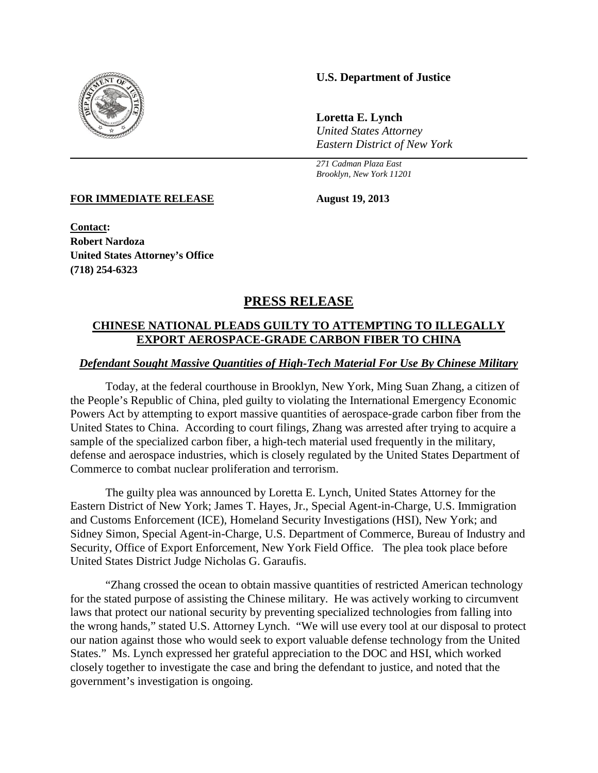

## **U.S. Department of Justice**

**Loretta E. Lynch** *United States Attorney Eastern District of New York*

*271 Cadman Plaza East Brooklyn, New York 11201*

**FOR IMMEDIATE RELEASE August 19, 2013**

**Contact: Robert Nardoza United States Attorney's Office (718) 254-6323**

# **PRESS RELEASE**

# **CHINESE NATIONAL PLEADS GUILTY TO ATTEMPTING TO ILLEGALLY EXPORT AEROSPACE-GRADE CARBON FIBER TO CHINA**

### *Defendant Sought Massive Quantities of High-Tech Material For Use By Chinese Military*

Today, at the federal courthouse in Brooklyn, New York, Ming Suan Zhang, a citizen of the People's Republic of China, pled guilty to violating the International Emergency Economic Powers Act by attempting to export massive quantities of aerospace-grade carbon fiber from the United States to China. According to court filings, Zhang was arrested after trying to acquire a sample of the specialized carbon fiber, a high-tech material used frequently in the military, defense and aerospace industries, which is closely regulated by the United States Department of Commerce to combat nuclear proliferation and terrorism.

The guilty plea was announced by Loretta E. Lynch, United States Attorney for the Eastern District of New York; James T. Hayes, Jr., Special Agent-in-Charge, U.S. Immigration and Customs Enforcement (ICE), Homeland Security Investigations (HSI), New York; and Sidney Simon, Special Agent-in-Charge, U.S. Department of Commerce, Bureau of Industry and Security, Office of Export Enforcement, New York Field Office. The plea took place before United States District Judge Nicholas G. Garaufis.

"Zhang crossed the ocean to obtain massive quantities of restricted American technology for the stated purpose of assisting the Chinese military. He was actively working to circumvent laws that protect our national security by preventing specialized technologies from falling into the wrong hands," stated U.S. Attorney Lynch. "We will use every tool at our disposal to protect our nation against those who would seek to export valuable defense technology from the United States." Ms. Lynch expressed her grateful appreciation to the DOC and HSI, which worked closely together to investigate the case and bring the defendant to justice, and noted that the government's investigation is ongoing.